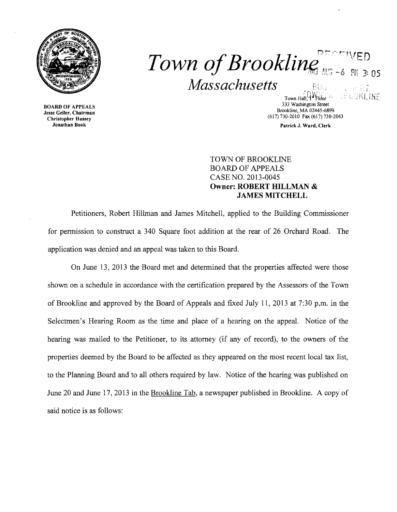

# $Town$  of Brookling '-['~!f . *Massachusetts* . , . '! I I l;;:

Jesse Geller, Chairman Brookine, MA 02445-6899<br>Christopher Hussey (617) 730-2010 Fax (617) 730-2010<br>Jonathan Book Patrick J. Ward. Clerk

Town Hall,  $\left\{\begin{array}{c} 1 & \text{if } \\ 4 & \text{Fidor} \end{array}\right\}$ .<br>333 Washington Street 333 Washington Street 333 Washington Street 333 Washington Street<br>
333 Washington Street<br>
333 Washington Street Brookline, MA 02445-6899

 $\mathop{\rm EU}\nolimits_{\rm tr}$ 

150a : I . I . I . PT

Patrick J. Ward, Clerk

TOWN OF BROOKLINE BOARD OF APPEALS CASE NO. 2013-0045 **Owner: ROBERT HILLMAN & JAMES MITCHELL** 

Petitioners, Robert Hillman and James Mitchell, applied to the Building Commissioner for permission to construct a 340 Square foot addition at the rear of 26 Orchard Road. The application was denied and an appeal was taken to this Board.

On June 13, 2013 the Board met and determined that the properties affected were those shown on a schedule in accordance with the certification prepared by the Assessors of the Town of Brookline and approved by the Board of Appeals and fixed July 11,2013 at 7:30 p.m. in the Selectmen's Hearing Room as the time and place of a hearing on the appeal. Notice of the hearing was mailed to the Petitioner, to its attorney (if any of record), to the owners of the properties deemed by the Board to be affected as they appeared on the most recent local tax list, to the Planning Board and to all others required by law. Notice of the hearing was published on June 20 and June 17,2013 in the Brookline Tab, a newspaper published in Brookline. A copy of said notice is as follows: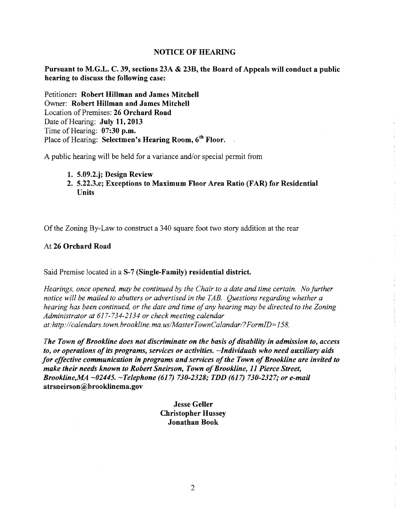## NOTICE OF HEARING

Pursuant to M.G.L. C. 39, sections 23A & 23B, the Board of Appeals will conduct a public hearing to discuss the following case:

Petitioner: Robert Hillman and James Mitchell Owner: Robert Hillman and James Mitchell Location of Premises: 26 Orchard Road Date of Hearing: July 11, 2013 Time of Hearing: 07:30 p.m. Place of Hearing: Selectmen's Hearing Room,  $6<sup>th</sup>$  Floor.

A public hearing will be held for a variance and/or special permit from

- 1. S.09.2.j; Design Review
- 2. S.22.3.c; Exceptions to Maximum Floor Area Ratio (FAR) for Residential **Units**

Ofthe Zoning By-Law to construct a 340 square foot two story addition at the rear

#### At 26 Orchard Road

Said Premise located in a S-7 (Single-Family) residential district.

*Hearings, once opened, may be continued by the Chair to a date and time certain. No further notice will be mailed to abutters or advertised in the TAB. Questions regarding whether a hearing has been continued, or the date and time ofany hearing may be directed to the Zoning Administrator at* 617-734-2134 *or check meeting calendar at: http://calendars.town.brookline.ma.usIMasterTownCalandarl? FormID= 158.* 

*The Town of Brookline does not discriminate on the basis of disability in admission to, access to, or operations ofits programs, services or activities.* ~Individuals *who need auxiliary aids for effective communication in programs and services of the Town of Brookline are invited to make their needs known to Robert Sneirson, Town ofBrookline,* 11 *Pierce Street, Brookline,MA* ~02445. *-Telephone* (617) *730-2328; TDD* (617) *730-2327; or e-mail*  atrsneirson@brooklinema.gov

> Jesse Geller Christopher Hussey Jonathan Book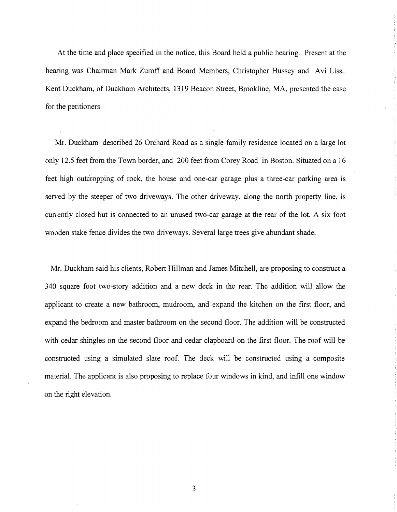At the time and place specified in the notice, this Board held a public hearing. Present at the hearing was Chairman Mark Zuroff and Board Members, Christopher Hussey and Avi Liss.. Kent Duckham, of Duckham Architects, 1319 Beacon Street, Brookline, MA, presented the case for the petitioners

Mr. Duckham described 26 Orchard Road as a single-family residence located on a large lot only 12.5 feet from the Town border, and 200 feet from Corey Road in Boston. Situated on a 16 feet high outcropping of rock, the house and one-car garage plus a three-car parking area is served by the steeper of two driveways. The other driveway, along the north property line, is currently closed but is connected to an unused two-car garage at the rear of the lot. A six foot wooden stake fence divides the two driveways. Several large trees give abundant shade.

Mr. Duckham said his clients, Robert Hillman and James Mitchell, are proposing to construct a 340 square foot two-story addition and a new deck in the rear. The addition will allow the applicant to create a new bathroom, mudroom, and expand the kitchen on the first floor, and expand the bedroom and master bathroom on the second floor. The addition will be constructed with cedar shingles on the second floor and cedar clapboard on the first floor. The roof will be constructed using a simulated slate roof. The deck will be constructed using a composite material. The applicant is also proposing to replace four windows in kind, and infill one window on the right elevation.

3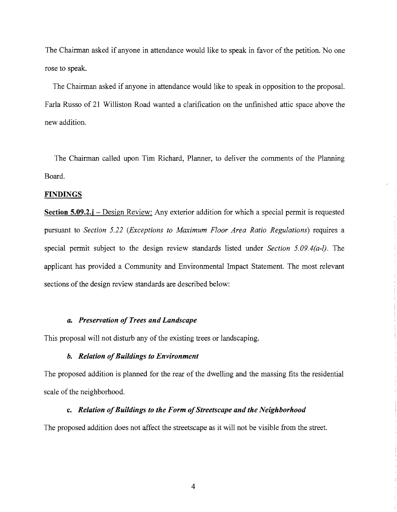The Chairman asked if anyone in attendance would like to speak in favor of the petition. No one rose to speak.

The Chairman asked if anyone in attendance would like to speak in opposition to the proposal. FarIa Russo of 21 Williston Road wanted a clarification on the unfinished attic space above the new addition.

The Chairman called upon Tim Richard, Planner, to deliver the comments of the Planning Board.

## **FINDINGS**

**Section 5.09.2.j** – Design Review: Any exterior addition for which a special permit is requested pursuant to *Section* 5.22 *(Exceptions to Maximum Floor Area Ratio Regulations)* requires a special pennit subject to the design review standards listed under *Section 5.09.4(a-l).* The applicant has provided a Community and Environmental Impact Statement. The most relevant sections of the design review standards are described below:

#### **a.** *Preservation ofTrees and Landscape*

This proposal will not disturb any of the existing trees or landscaping.

## *h. Relation ofBuildings to Environment*

The proposed addition is planned for the rear of the dwelling and the massing fits the residential scale of the neighborhood.

#### **c.** *Relation ofBuildings to the Form ofStreetscape and the Neighborhood*

The proposed addition does not affect the streetscape as it will not be visible from the street.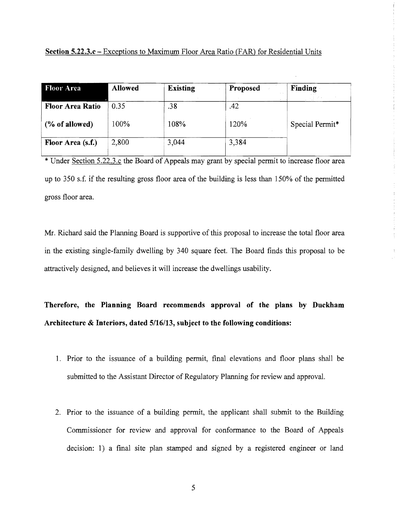#### **Section 5.22.3.c** – Exceptions to Maximum Floor Area Ratio (FAR) for Residential Units

| <b>Floor Area</b>       | <b>Allowed</b> | <b>Existing</b> | Proposed | Finding         |
|-------------------------|----------------|-----------------|----------|-----------------|
|                         |                |                 |          | ココンティ           |
| <b>Floor Area Ratio</b> | 0.35           | .38             | .42      |                 |
| (% of allowed)          | 100%           | 108%            | 120%     | Special Permit* |
| Floor Area (s.f.)       | 2,800          | 3,044           | 3,384    |                 |

\* Under Section 5.22.3.c the Board of Appeals may grant by special permit to increase floor area up to 350 s.f. if the resulting gross floor area of the building is less than 150% of the permitted gross floor area.

Mr. Richard said the Planning Board is supportive of this proposal to increase the total floor area in the existing single-family dwelling by 340 square feet. The Board finds this proposal to be attractively designed, and believes it will increase the dwellings usability\_

# **Therefore, the Planning Board recommends approval of the plans by Duckham Architecture & Interiors, dated** *5/16/13,* **subject to the following conditions:**

- 1. Prior to the issuance of a building permit, final elevations and floor plans shall be submitted to the Assistant Director of Regulatory Planning for review and approval.
- 2. Prior to the issuance of a building permit, the applicant shall submit to the Building Commissioner for review and approval for conformance to the Board of Appeals decision: 1) a final site plan stamped and signed by a registered engineer or land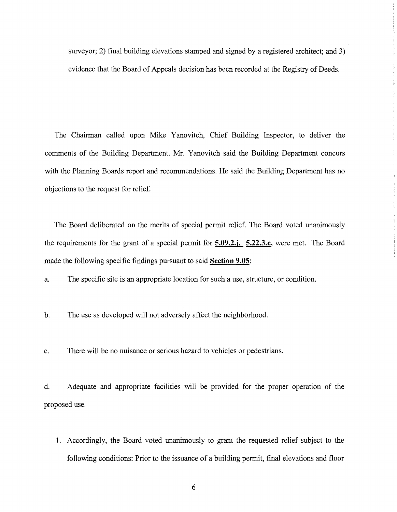surveyor; 2) final building elevations stamped and signed by a registered architect; and 3) evidence that the Board of Appeals decision has been recorded at the Registry of Deeds.

The Chairman called upon Mike Yanovitch, Chief Building Inspector, to deliver the comments of the Building Department. Mr. Yanovitch said the Building Department concurs with the Planning Boards report and recommendations. He said the Building Department has no objections to the request for relief.

The Board deliberated on the merits of special permit relief. The Board voted unanimously the requirements for the grant of a special permit for **5.09.2.j, 5.22.3.c,** were met. The Board made the following specific findings pursuant to said **Section 9.05:** 

a. The specific site is an appropriate location for such a use, structure, or condition.

b. The use as developed will not adversely affect the neighborhood.

c. There will be no nuisance or serious hazard to vehicles or pedestrians.

d. Adequate and appropriate facilities will be provided for the proper operation of the proposed use.

1. Accordingly, the Board voted unanimously to grant the requested relief subject to the following conditions: Prior to the issuance of a building permit, final elevations and floor

6